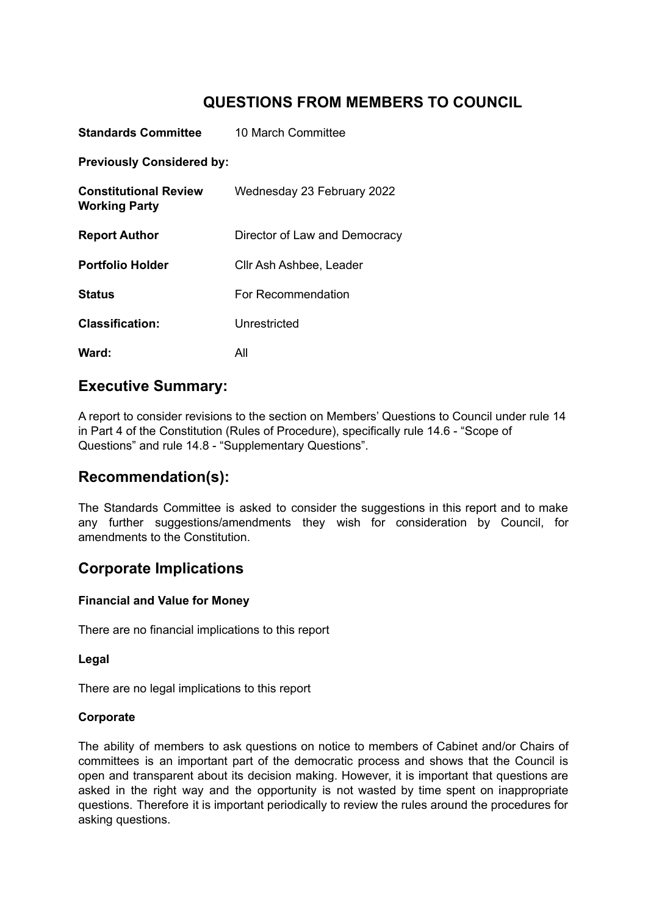# **QUESTIONS FROM MEMBERS TO COUNCIL**

| Standards Committee                                  | 10 March Committee            |
|------------------------------------------------------|-------------------------------|
| <b>Previously Considered by:</b>                     |                               |
| <b>Constitutional Review</b><br><b>Working Party</b> | Wednesday 23 February 2022    |
| <b>Report Author</b>                                 | Director of Law and Democracy |
| <b>Portfolio Holder</b>                              | Cllr Ash Ashbee, Leader       |
| Status                                               | For Recommendation            |
| <b>Classification:</b>                               | Unrestricted                  |
| Ward:                                                | All                           |

# **Executive Summary:**

A report to consider revisions to the section on Members' Questions to Council under rule 14 in Part 4 of the Constitution (Rules of Procedure), specifically rule 14.6 - "Scope of Questions" and rule 14.8 - "Supplementary Questions".

# **Recommendation(s):**

The Standards Committee is asked to consider the suggestions in this report and to make any further suggestions/amendments they wish for consideration by Council, for amendments to the Constitution.

# **Corporate Implications**

### **Financial and Value for Money**

There are no financial implications to this report

### **Legal**

There are no legal implications to this report

### **Corporate**

The ability of members to ask questions on notice to members of Cabinet and/or Chairs of committees is an important part of the democratic process and shows that the Council is open and transparent about its decision making. However, it is important that questions are asked in the right way and the opportunity is not wasted by time spent on inappropriate questions. Therefore it is important periodically to review the rules around the procedures for asking questions.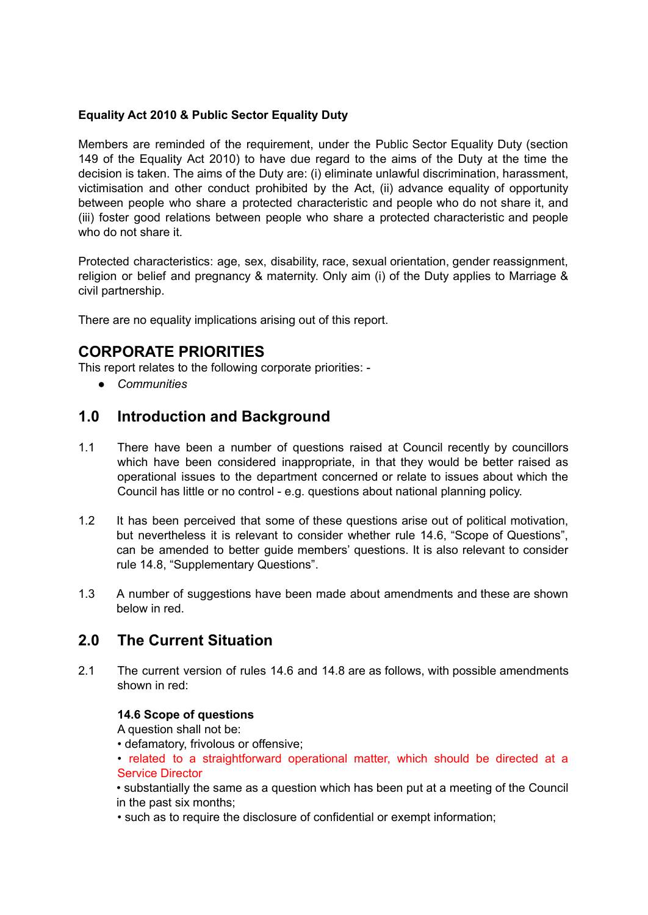#### **Equality Act 2010 & Public Sector Equality Duty**

Members are reminded of the requirement, under the Public Sector Equality Duty (section 149 of the Equality Act 2010) to have due regard to the aims of the Duty at the time the decision is taken. The aims of the Duty are: (i) eliminate unlawful discrimination, harassment, victimisation and other conduct prohibited by the Act, (ii) advance equality of opportunity between people who share a protected characteristic and people who do not share it, and (iii) foster good relations between people who share a protected characteristic and people who do not share it.

Protected characteristics: age, sex, disability, race, sexual orientation, gender reassignment, religion or belief and pregnancy & maternity. Only aim (i) of the Duty applies to Marriage & civil partnership.

There are no equality implications arising out of this report.

# **CORPORATE PRIORITIES**

This report relates to the following corporate priorities: -

*● Communities*

### **1.0 Introduction and Background**

- 1.1 There have been a number of questions raised at Council recently by councillors which have been considered inappropriate, in that they would be better raised as operational issues to the department concerned or relate to issues about which the Council has little or no control - e.g. questions about national planning policy.
- 1.2 It has been perceived that some of these questions arise out of political motivation, but nevertheless it is relevant to consider whether rule 14.6, "Scope of Questions", can be amended to better guide members' questions. It is also relevant to consider rule 14.8, "Supplementary Questions".
- 1.3 A number of suggestions have been made about amendments and these are shown below in red.

### **2.0 The Current Situation**

2.1 The current version of rules 14.6 and 14.8 are as follows, with possible amendments shown in red:

#### **14.6 Scope of questions**

A question shall not be:

• defamatory, frivolous or offensive;

• related to a straightforward operational matter, which should be directed at a Service Director

• substantially the same as a question which has been put at a meeting of the Council in the past six months;

• such as to require the disclosure of confidential or exempt information;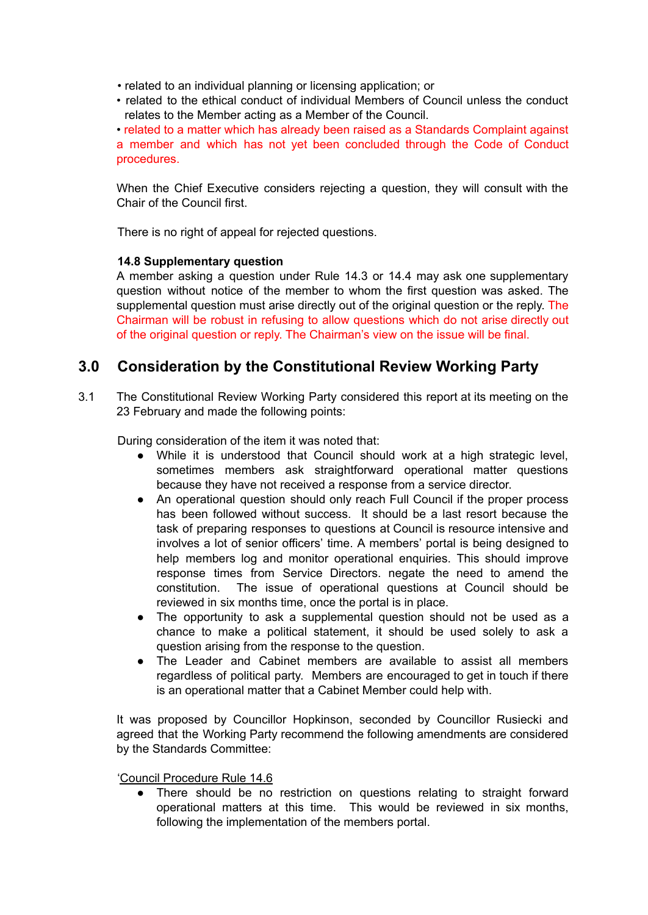- related to an individual planning or licensing application; or
- related to the ethical conduct of individual Members of Council unless the conduct relates to the Member acting as a Member of the Council.

• related to a matter which has already been raised as a Standards Complaint against a member and which has not yet been concluded through the Code of Conduct procedures.

When the Chief Executive considers rejecting a question, they will consult with the Chair of the Council first.

There is no right of appeal for rejected questions.

#### **14.8 Supplementary question**

A member asking a question under Rule 14.3 or 14.4 may ask one supplementary question without notice of the member to whom the first question was asked. The supplemental question must arise directly out of the original question or the reply. The Chairman will be robust in refusing to allow questions which do not arise directly out of the original question or reply. The Chairman's view on the issue will be final.

## **3.0 Consideration by the Constitutional Review Working Party**

3.1 The Constitutional Review Working Party considered this report at its meeting on the 23 February and made the following points:

During consideration of the item it was noted that:

- While it is understood that Council should work at a high strategic level, sometimes members ask straightforward operational matter questions because they have not received a response from a service director.
- An operational question should only reach Full Council if the proper process has been followed without success. It should be a last resort because the task of preparing responses to questions at Council is resource intensive and involves a lot of senior officers' time. A members' portal is being designed to help members log and monitor operational enquiries. This should improve response times from Service Directors. negate the need to amend the constitution. The issue of operational questions at Council should be reviewed in six months time, once the portal is in place.
- The opportunity to ask a supplemental question should not be used as a chance to make a political statement, it should be used solely to ask a question arising from the response to the question.
- The Leader and Cabinet members are available to assist all members regardless of political party. Members are encouraged to get in touch if there is an operational matter that a Cabinet Member could help with.

It was proposed by Councillor Hopkinson, seconded by Councillor Rusiecki and agreed that the Working Party recommend the following amendments are considered by the Standards Committee:

'Council Procedure Rule 14.6

● There should be no restriction on questions relating to straight forward operational matters at this time. This would be reviewed in six months, following the implementation of the members portal.